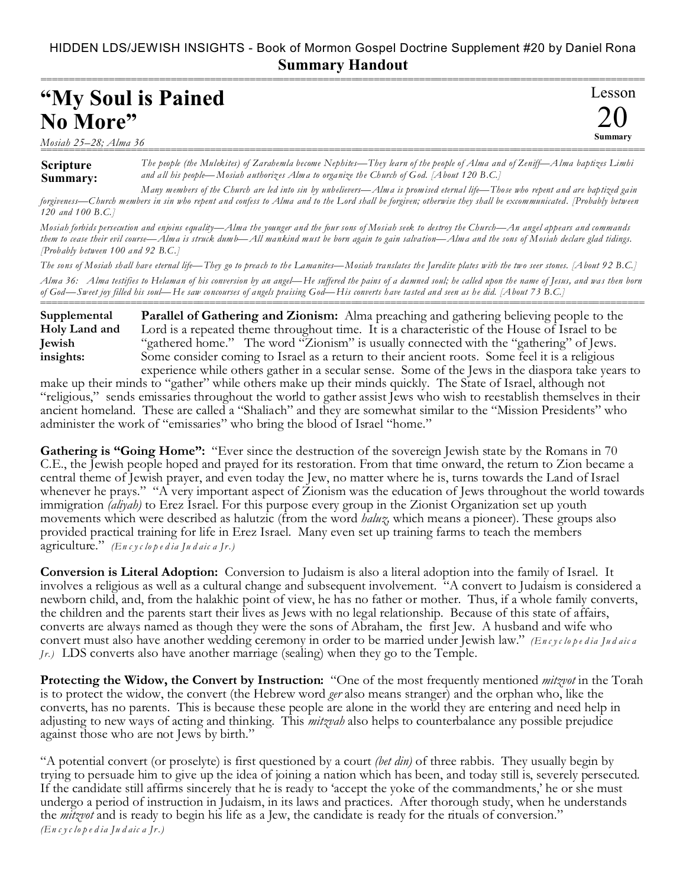## HIDDEN LDS/JEWISH INSIGHTS - Book of Mormon Gospel Doctrine Supplement #20 by Daniel Rona **Summary Handout**

| "My Soul is Pained |        |
|--------------------|--------|
| No More"           |        |
|                    | $\sim$ |

*Mosiah 25–28; Alma 36* ===========================================================================================================

**Scripture**

## *The people (the Mulekites) of Zarahemla become Nephites—They learn of the people of Alma and of Zeniff—Alma baptizes Limhi and all his people—Mosiah authorizes Alma to organize the Church of God. [About 120 B.C.]*

20 **Summary**

**Summary:** *Many members of the Church are led into sin by unbelievers—Alma is promised eternal life—Those who repent and are baptized gain forgiveness—Church members in sin who repent and confess to Alma and to the Lord shall be forgiven; otherwise they shall be excommunicated. [Probably between 120 and 100 B.C.]*

*Mosiah forbids persecution and enjoins equality—Alma the younger and the four sons of Mosiah seek to destroy the Church—An angel appears and commands them to cease their evil course—Alma is struck dumb—All mankind must be born again to gain salvation—Alma and the sons of Mosiah declare glad tidings. [Probably between 100 and 92 B.C.]*

*The sons of Mosiah shall have eternal life—They go to preach to the Lamanites—Mosiah translates the Jaredite plates with the two seer stones. [About 92 B.C.]*

*Alma 36: Alma testifies to Helaman of his conversion by an angel—He suffered the pains of a damned soul; he called upon the name of Jesus, and was then born of God—Sweet joy filled his soul—He saw concourses of angels praising God—His converts have tasted and seen as he did. [About 73 B.C.]* ===========================================================================================================

**Parallel of Gathering and Zionism:** Alma preaching and gathering believing people to the Lord is a repeated theme throughout time. It is a characteristic of the House of Israel to be "gathered home." The word "Zionism" is usually connected with the "gathering" of Jews. Some consider coming to Israel as a return to their ancient roots. Some feel it is a religious experience while others gather in a secular sense. Some of the Jews in the diaspora take years to **Supplemental Holy Land and Jewish insights:**

make up their minds to "gather" while others make up their minds quickly. The State of Israel, although not "religious," sends emissaries throughout the world to gather assist Jews who wish to reestablish themselves in their ancient homeland. These are called a "Shaliach" and they are somewhat similar to the "Mission Presidents" who administer the work of "emissaries" who bring the blood of Israel "home."

Gathering is "Going Home": "Ever since the destruction of the sovereign Jewish state by the Romans in 70 C.E., the Jewish people hoped and prayed for its restoration. From that time onward, the return to Zion became a central theme of Jewish prayer, and even today the Jew, no matter where he is, turns towards the Land of Israel whenever he prays." "A very important aspect of Zionism was the education of Jews throughout the world towards immigration *(aliyah)* to Erez Israel. For this purpose every group in the Zionist Organization set up youth movements which were described as halutzic (from the word *haluz,* which means a pioneer). These groups also provided practical training for life in Erez Israel. Many even set up training farms to teach the members agriculture." *(En c y c lo p e d ia Ju d aic a Jr.)*

**Conversion is Literal Adoption:** Conversion to Judaism is also a literal adoption into the family of Israel. It involves a religious as well as a cultural change and subsequent involvement. "A convert to Judaism is considered a newborn child, and, from the halakhic point of view, he has no father or mother. Thus, if a whole family converts, the children and the parents start their lives as Jews with no legal relationship. Because of this state of affairs, converts are always named as though they were the sons of Abraham, the first Jew. A husband and wife who convert must also have another wedding ceremony in order to be married under Jewish law." *(En c y c lo p e d ia Ju d aic a Jr.)* LDS converts also have another marriage (sealing) when they go to the Temple.

**Protecting the Widow, the Convert by Instruction:** "One of the most frequently mentioned *mitzvot* in the Torah is to protect the widow, the convert (the Hebrew word *ger* also means stranger) and the orphan who, like the converts, has no parents. This is because these people are alone in the world they are entering and need help in adjusting to new ways of acting and thinking. This *mitzvah* also helps to counterbalance any possible prejudice against those who are not Jews by birth."

"A potential convert (or proselyte) is first questioned by a court *(bet din)* of three rabbis. They usually begin by trying to persuade him to give up the idea of joining a nation which has been, and today still is, severely persecuted. If the candidate still affirms sincerely that he is ready to 'accept the yoke of the commandments,' he or she must undergo a period of instruction in Judaism, in its laws and practices. After thorough study, when he understands the *mitzvot* and is ready to begin his life as a Jew, the candidate is ready for the rituals of conversion." *(En c y c lo p e d ia Ju d aic a Jr.)*